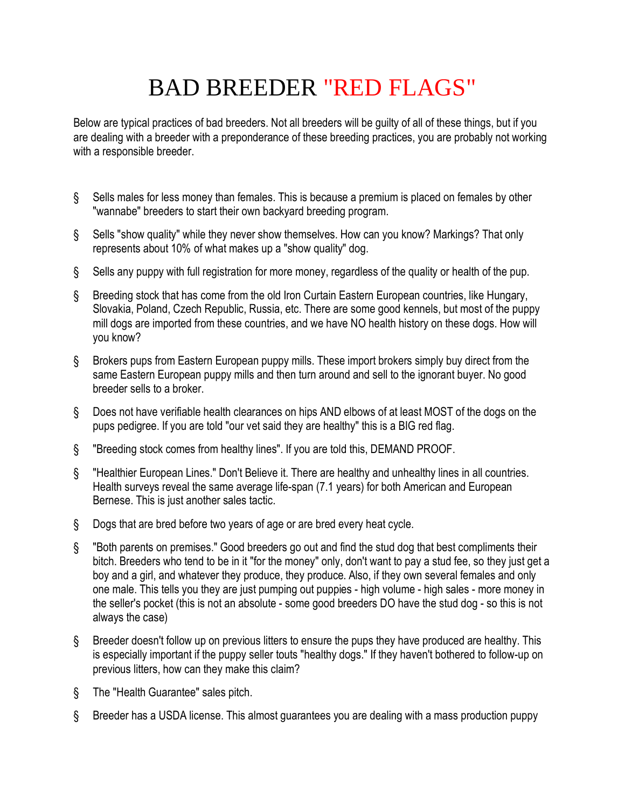## BAD BREEDER "RED FLAGS"

Below are typical practices of bad breeders. Not all breeders will be guilty of all of these things, but if you are dealing with a breeder with a preponderance of these breeding practices, you are probably not working with a responsible breeder.

- § Sells males for less money than females. This is because a premium is placed on females by other "wannabe" breeders to start their own backyard breeding program.
- § Sells "show quality" while they never show themselves. How can you know? Markings? That only represents about 10% of what makes up a "show quality" dog.
- § Sells any puppy with full registration for more money, regardless of the quality or health of the pup.
- § Breeding stock that has come from the old Iron Curtain Eastern European countries, like Hungary, Slovakia, Poland, Czech Republic, Russia, etc. There are some good kennels, but most of the puppy mill dogs are imported from these countries, and we have NO health history on these dogs. How will you know?
- § Brokers pups from Eastern European puppy mills. These import brokers simply buy direct from the same Eastern European puppy mills and then turn around and sell to the ignorant buyer. No good breeder sells to a broker.
- § Does not have verifiable health clearances on hips AND elbows of at least MOST of the dogs on the pups pedigree. If you are told "our vet said they are healthy" this is a BIG red flag.
- § "Breeding stock comes from healthy lines". If you are told this, DEMAND PROOF.
- § "Healthier European Lines." Don't Believe it. There are healthy and unhealthy lines in all countries. Health surveys reveal the same average life-span (7.1 years) for both American and European Bernese. This is just another sales tactic.
- § Dogs that are bred before two years of age or are bred every heat cycle.
- § "Both parents on premises." Good breeders go out and find the stud dog that best compliments their bitch. Breeders who tend to be in it "for the money" only, don't want to pay a stud fee, so they just get a boy and a girl, and whatever they produce, they produce. Also, if they own several females and only one male. This tells you they are just pumping out puppies - high volume - high sales - more money in the seller's pocket (this is not an absolute - some good breeders DO have the stud dog - so this is not always the case)
- § Breeder doesn't follow up on previous litters to ensure the pups they have produced are healthy. This is especially important if the puppy seller touts "healthy dogs." If they haven't bothered to follow-up on previous litters, how can they make this claim?
- § The "Health Guarantee" sales pitch.
- § Breeder has a USDA license. This almost guarantees you are dealing with a mass production puppy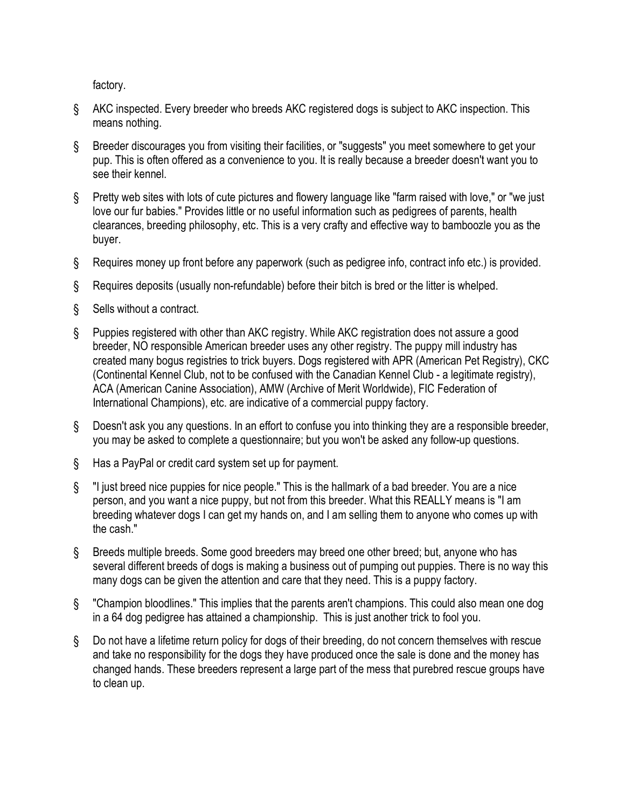factory.

- § AKC inspected. Every breeder who breeds AKC registered dogs is subject to AKC inspection. This means nothing.
- § Breeder discourages you from visiting their facilities, or "suggests" you meet somewhere to get your pup. This is often offered as a convenience to you. It is really because a breeder doesn't want you to see their kennel.
- § Pretty web sites with lots of cute pictures and flowery language like "farm raised with love," or "we just love our fur babies." Provides little or no useful information such as pedigrees of parents, health clearances, breeding philosophy, etc. This is a very crafty and effective way to bamboozle you as the buyer.
- § Requires money up front before any paperwork (such as pedigree info, contract info etc.) is provided.
- § Requires deposits (usually non-refundable) before their bitch is bred or the litter is whelped.
- § Sells without a contract.
- § Puppies registered with other than AKC registry. While AKC registration does not assure a good breeder, NO responsible American breeder uses any other registry. The puppy mill industry has created many bogus registries to trick buyers. Dogs registered with APR (American Pet Registry), CKC (Continental Kennel Club, not to be confused with the Canadian Kennel Club - a legitimate registry), ACA (American Canine Association), AMW (Archive of Merit Worldwide), FIC Federation of International Champions), etc. are indicative of a commercial puppy factory.
- § Doesn't ask you any questions. In an effort to confuse you into thinking they are a responsible breeder, you may be asked to complete a questionnaire; but you won't be asked any follow-up questions.
- § Has a PayPal or credit card system set up for payment.
- § "I just breed nice puppies for nice people." This is the hallmark of a bad breeder. You are a nice person, and you want a nice puppy, but not from this breeder. What this REALLY means is "I am breeding whatever dogs I can get my hands on, and I am selling them to anyone who comes up with the cash."
- § Breeds multiple breeds. Some good breeders may breed one other breed; but, anyone who has several different breeds of dogs is making a business out of pumping out puppies. There is no way this many dogs can be given the attention and care that they need. This is a puppy factory.
- § "Champion bloodlines." This implies that the parents aren't champions. This could also mean one dog in a 64 dog pedigree has attained a championship. This is just another trick to fool you.
- § Do not have a lifetime return policy for dogs of their breeding, do not concern themselves with rescue and take no responsibility for the dogs they have produced once the sale is done and the money has changed hands. These breeders represent a large part of the mess that purebred rescue groups have to clean up.